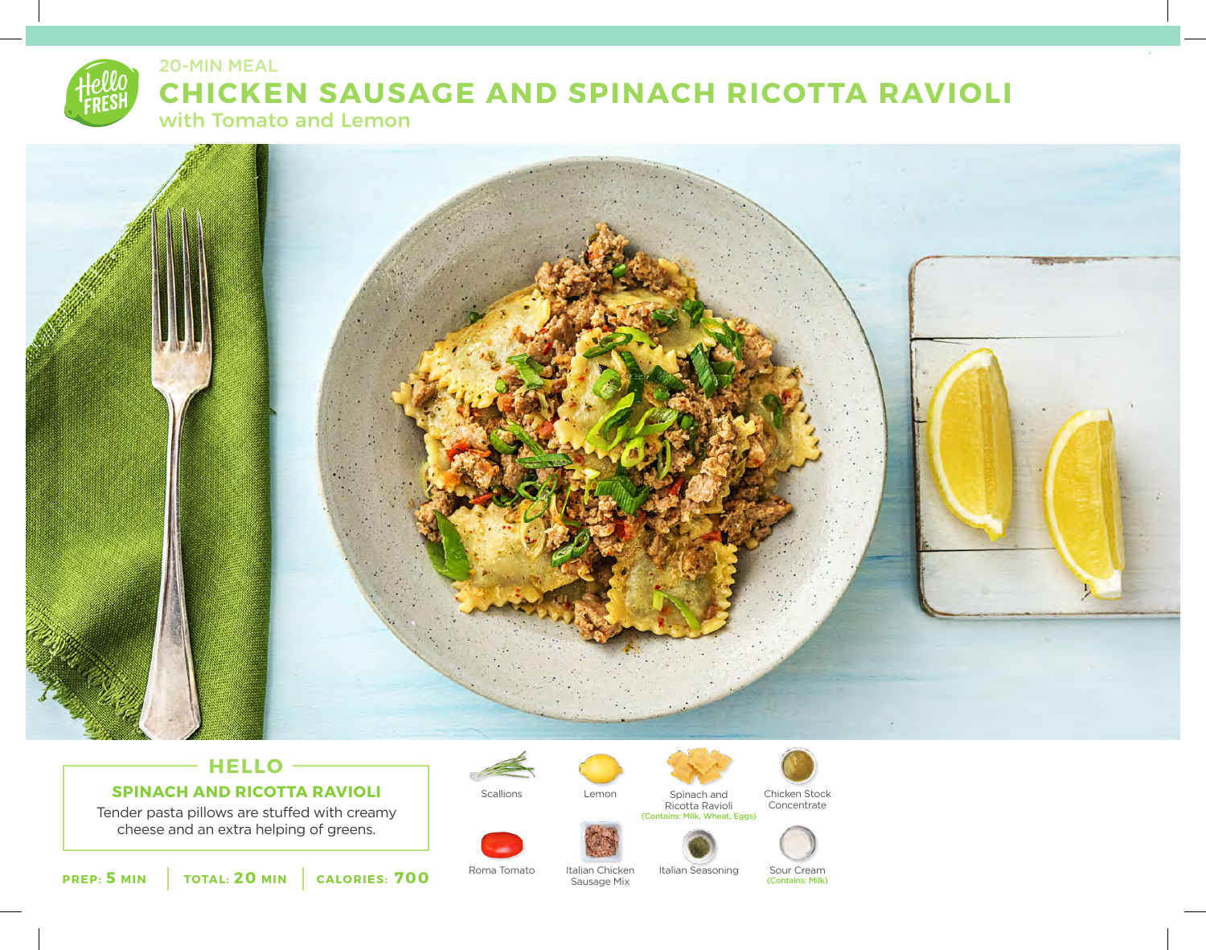



# **HELLO SPINACH AND RICOTTA RAVIOLI**

Tender pasta pillows are stuffed with creamy cheese and an extra helping of greens.







Concentrate





**PREP: 5 MIN TOTAL: 20 MIN CALORIES: 700**

Roma Tomato Italian Chicken Italian Seasoning Sour Cream<br>Sausage Mix (Contains: Milk)

Sausage Mix